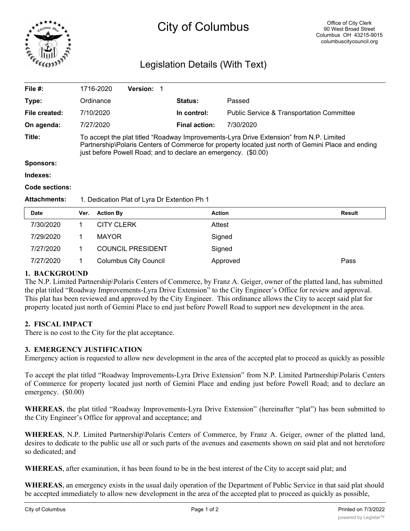

# City of Columbus

# Legislation Details (With Text)

| File #:             | 1716-2020                                                                                                                                                                                                                                                       | <b>Version: 1</b> |                      |                                                      |  |  |
|---------------------|-----------------------------------------------------------------------------------------------------------------------------------------------------------------------------------------------------------------------------------------------------------------|-------------------|----------------------|------------------------------------------------------|--|--|
| Type:               | Ordinance                                                                                                                                                                                                                                                       |                   | <b>Status:</b>       | Passed                                               |  |  |
| File created:       | 7/10/2020                                                                                                                                                                                                                                                       |                   | In control:          | <b>Public Service &amp; Transportation Committee</b> |  |  |
| On agenda:          | 7/27/2020                                                                                                                                                                                                                                                       |                   | <b>Final action:</b> | 7/30/2020                                            |  |  |
| Title:              | To accept the plat titled "Roadway Improvements-Lyra Drive Extension" from N.P. Limited<br>Partnership\Polaris Centers of Commerce for property located just north of Gemini Place and ending<br>just before Powell Road; and to declare an emergency. (\$0.00) |                   |                      |                                                      |  |  |
| <b>Sponsors:</b>    |                                                                                                                                                                                                                                                                 |                   |                      |                                                      |  |  |
| Indexes:            |                                                                                                                                                                                                                                                                 |                   |                      |                                                      |  |  |
| Code sections:      |                                                                                                                                                                                                                                                                 |                   |                      |                                                      |  |  |
| <b>Attachments:</b> | 1. Dedication Plat of Lyra Dr Extention Ph 1                                                                                                                                                                                                                    |                   |                      |                                                      |  |  |
| Data.               | $M_{\text{max}} = 0.41$                                                                                                                                                                                                                                         |                   | $A - 41 - 4$         | <b>Dec.</b> 14                                       |  |  |

| <b>Date</b> | Ver. | <b>Action By</b>             | <b>Action</b> | <b>Result</b> |
|-------------|------|------------------------------|---------------|---------------|
| 7/30/2020   |      | <b>CITY CLERK</b>            | Attest        |               |
| 7/29/2020   |      | <b>MAYOR</b>                 | Signed        |               |
| 7/27/2020   |      | <b>COUNCIL PRESIDENT</b>     | Signed        |               |
| 7/27/2020   |      | <b>Columbus City Council</b> | Approved      | Pass          |

# **1. BACKGROUND**

The N.P. Limited Partnership\Polaris Centers of Commerce, by Franz A. Geiger, owner of the platted land, has submitted the plat titled "Roadway Improvements-Lyra Drive Extension" to the City Engineer's Office for review and approval. This plat has been reviewed and approved by the City Engineer. This ordinance allows the City to accept said plat for property located just north of Gemini Place to end just before Powell Road to support new development in the area.

# **2. FISCAL IMPACT**

There is no cost to the City for the plat acceptance.

# **3. EMERGENCY JUSTIFICATION**

Emergency action is requested to allow new development in the area of the accepted plat to proceed as quickly as possible

To accept the plat titled "Roadway Improvements-Lyra Drive Extension" from N.P. Limited Partnership\Polaris Centers of Commerce for property located just north of Gemini Place and ending just before Powell Road; and to declare an emergency. (\$0.00)

**WHEREAS**, the plat titled "Roadway Improvements-Lyra Drive Extension" (hereinafter "plat") has been submitted to the City Engineer's Office for approval and acceptance; and

**WHEREAS**, N.P. Limited Partnership\Polaris Centers of Commerce, by Franz A. Geiger, owner of the platted land, desires to dedicate to the public use all or such parts of the avenues and easements shown on said plat and not heretofore so dedicated; and

**WHEREAS**, after examination, it has been found to be in the best interest of the City to accept said plat; and

**WHEREAS**, an emergency exists in the usual daily operation of the Department of Public Service in that said plat should be accepted immediately to allow new development in the area of the accepted plat to proceed as quickly as possible,